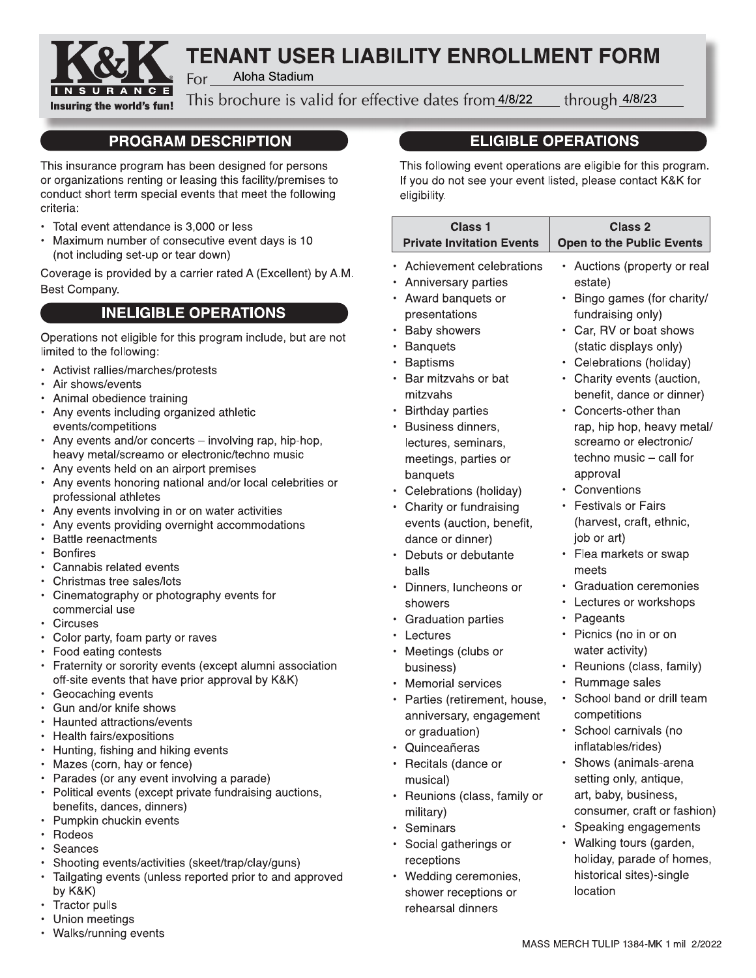

# **TENANT USER LIABILITY ENROLLMENT FORM**

Aloha Stadium For

This brochure is valid for effective dates from 4/8/22

through 4/8/23

# **PROGRAM DESCRIPTION**

This insurance program has been designed for persons or organizations renting or leasing this facility/premises to conduct short term special events that meet the following criteria:

- Total event attendance is 3,000 or less
- Maximum number of consecutive event days is 10 (not including set-up or tear down)

Coverage is provided by a carrier rated A (Excellent) by A.M. Best Company.

# **INELIGIBLE OPERATIONS**

Operations not eligible for this program include, but are not limited to the following:

- Activist rallies/marches/protests
- Air shows/events
- Animal obedience training
- Any events including organized athletic events/competitions
- Any events and/or concerts involving rap, hip-hop, heavy metal/screamo or electronic/techno music
- Any events held on an airport premises
- Any events honoring national and/or local celebrities or professional athletes
- Any events involving in or on water activities
- Any events providing overnight accommodations
- Battle reenactments
- Bonfires
- Cannabis related events
- Christmas tree sales/lots
- Cinematography or photography events for commercial use
- Circuses
- Color party, foam party or raves
- Food eating contests
- Fraternity or sorority events (except alumni association off-site events that have prior approval by K&K)
- Geocaching events
- Gun and/or knife shows
- Haunted attractions/events
- Health fairs/expositions
- Hunting, fishing and hiking events
- Mazes (corn, hay or fence)
- Parades (or any event involving a parade)
- Political events (except private fundraising auctions, benefits, dances, dinners)
- Pumpkin chuckin events
- $\bullet$ Rodeos
- Seances
- Shooting events/activities (skeet/trap/clay/guns)
- Tailgating events (unless reported prior to and approved by K&K)
- Tractor pulls
- Union meetings
- Walks/running events

# **ELIGIBLE OPERATIONS**

This following event operations are eligible for this program. If you do not see your event listed, please contact K&K for eligibility.

| Class <sub>1</sub><br><b>Private Invitation Events</b> | Class <sub>2</sub><br><b>Open to the Public Events</b> |
|--------------------------------------------------------|--------------------------------------------------------|
| Achievement celebrations                               | Auctions (property or real<br>٠                        |
| Anniversary parties                                    | estate)                                                |
| Award banquets or<br>٠                                 | Bingo games (for charity/                              |
| presentations                                          | fundraising only)                                      |
| <b>Baby showers</b>                                    | Car, RV or boat shows<br>٠                             |
| <b>Banquets</b><br>٠                                   | (static displays only)                                 |
| <b>Baptisms</b><br>٠                                   | Celebrations (holiday)                                 |
| Bar mitzvahs or bat                                    | Charity events (auction,                               |
| mitzvahs                                               | benefit, dance or dinner)                              |
| <b>Birthday parties</b><br>٠                           | Concerts-other than<br>$\bullet$                       |
| Business dinners,<br>٠                                 | rap, hip hop, heavy metal/                             |
| lectures, seminars,                                    | screamo or electronic/                                 |
| meetings, parties or                                   | techno music - call for                                |
| banquets                                               | approval                                               |
| • Celebrations (holiday)                               | Conventions                                            |
| Charity or fundraising<br>$\bullet$                    | <b>Festivals or Fairs</b><br>$\bullet$                 |
| events (auction, benefit,                              | (harvest, craft, ethnic,                               |
| dance or dinner)                                       | job or art)                                            |
| Debuts or debutante                                    | Flea markets or swap                                   |
| balls                                                  | meets                                                  |
| Dinners, luncheons or<br>٠                             | <b>Graduation ceremonies</b>                           |
| showers                                                | Lectures or workshops<br>$\bullet$                     |
| <b>Graduation parties</b>                              | Pageants<br>٠                                          |
| Lectures                                               | Picnics (no in or on<br>٠                              |
| Meetings (clubs or<br>٠                                | water activity)                                        |
| business)                                              | Reunions (class, family)<br>٠                          |
| Memorial services                                      | Rummage sales<br>٠                                     |
| Parties (retirement, house,<br>٠                       | School band or drill team<br>$\bullet$                 |
| anniversary, engagement                                | competitions                                           |
| or graduation)                                         | School carnivals (no<br>٠                              |
| Quinceañeras                                           | inflatables/rides)                                     |
| Recitals (dance or                                     | Shows (animals-arena                                   |
| musical)                                               | setting only, antique,                                 |
| Reunions (class, family or                             | art, baby, business,                                   |
| military)                                              | consumer, craft or fashion)                            |
| Seminars                                               | Speaking engagements<br>٠                              |
| Social gatherings or                                   | Walking tours (garden,                                 |
| receptions                                             | holiday, parade of homes,                              |
| Wedding ceremonies,<br>٠                               | historical sites)-single                               |
| shower receptions or                                   | location                                               |
| rehearsal dinners                                      |                                                        |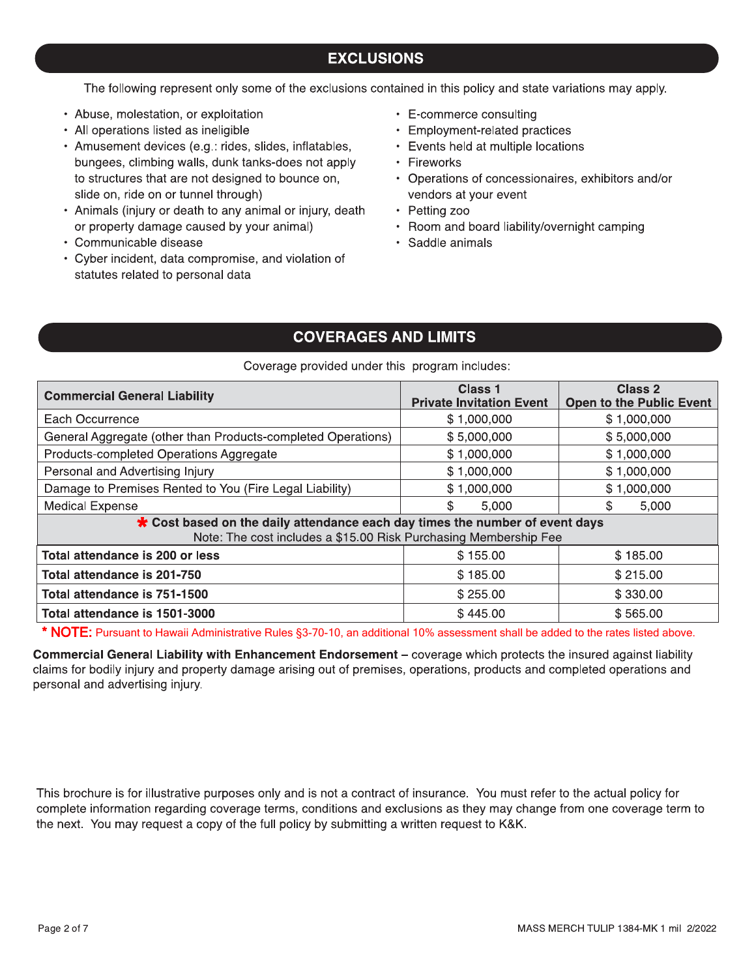## **EXCLUSIONS**

The following represent only some of the exclusions contained in this policy and state variations may apply.

- Abuse, molestation, or exploitation
- All operations listed as ineligible
- · Amusement devices (e.g.: rides, slides, inflatables, bungees, climbing walls, dunk tanks-does not apply to structures that are not designed to bounce on, slide on, ride on or tunnel through)
- Animals (injury or death to any animal or injury, death or property damage caused by your animal)
- Communicable disease
- Cyber incident, data compromise, and violation of statutes related to personal data
- E-commerce consulting
- Employment-related practices
- Events held at multiple locations
- Fireworks
- Operations of concessionaires, exhibitors and/or vendors at your event
- Petting zoo
- Room and board liability/overnight camping
- · Saddle animals

#### **COVERAGES AND LIMITS**

#### Coverage provided under this program includes:

| <b>Commercial General Liability</b>                                                                                                              | Class 1<br><b>Private Invitation Event</b> | Class 2<br><b>Open to the Public Event</b> |  |
|--------------------------------------------------------------------------------------------------------------------------------------------------|--------------------------------------------|--------------------------------------------|--|
| Each Occurrence                                                                                                                                  | \$1,000,000                                | \$1,000,000                                |  |
| General Aggregate (other than Products-completed Operations)                                                                                     | \$5,000,000                                | \$5,000,000                                |  |
| Products-completed Operations Aggregate                                                                                                          | \$1,000,000                                | \$1,000,000                                |  |
| Personal and Advertising Injury                                                                                                                  | \$1,000,000                                | \$1,000,000                                |  |
| Damage to Premises Rented to You (Fire Legal Liability)                                                                                          | \$1,000,000                                | \$1,000,000                                |  |
| <b>Medical Expense</b>                                                                                                                           | \$<br>5,000                                | S<br>5,000                                 |  |
| * Cost based on the daily attendance each day times the number of event days<br>Note: The cost includes a \$15.00 Risk Purchasing Membership Fee |                                            |                                            |  |
| Total attendance is 200 or less                                                                                                                  | \$155.00                                   | \$185.00                                   |  |
| Total attendance is 201-750                                                                                                                      | \$185.00                                   | \$215.00                                   |  |
| Total attendance is 751-1500                                                                                                                     | \$255.00                                   | \$330.00                                   |  |
| Total attendance is 1501-3000                                                                                                                    | \$445.00                                   | \$565.00                                   |  |

\* NOTE: Pursuant to Hawaii Administrative Rules §3-70-10, an additional 10% assessment shall be added to the rates listed above.

Commercial General Liability with Enhancement Endorsement - coverage which protects the insured against liability claims for bodily injury and property damage arising out of premises, operations, products and completed operations and personal and advertising injury.

This brochure is for illustrative purposes only and is not a contract of insurance. You must refer to the actual policy for complete information regarding coverage terms, conditions and exclusions as they may change from one coverage term to the next. You may request a copy of the full policy by submitting a written request to K&K.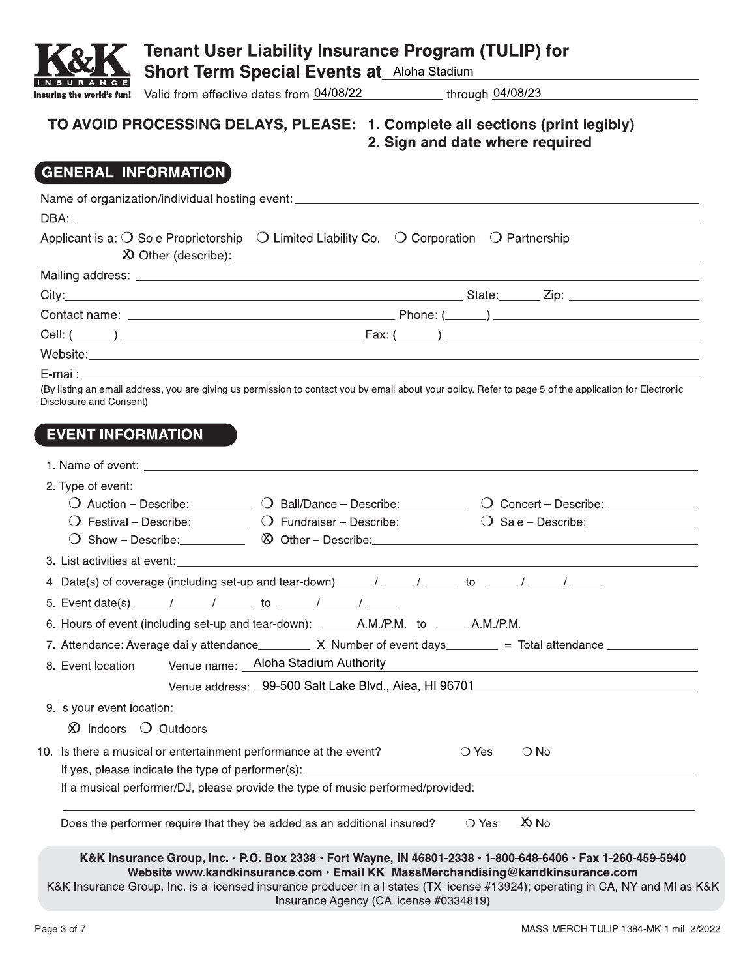

**Short Term Special Events at\_Aloha Stadium** 

Insuring the world's fun! Valid from effective dates from 04/08/22

through 04/08/23

#### TO AVOID PROCESSING DELAYS, PLEASE: 1. Complete all sections (print legibly) 2. Sign and date where required

# **GENERAL INFORMATION**

| Applicant is a: $\bigcirc$ Sole Proprietorship $\bigcirc$ Limited Liability Co. $\bigcirc$ Corporation $\bigcirc$ Partnership                                                                                                       |                                                       |
|-------------------------------------------------------------------------------------------------------------------------------------------------------------------------------------------------------------------------------------|-------------------------------------------------------|
|                                                                                                                                                                                                                                     |                                                       |
|                                                                                                                                                                                                                                     |                                                       |
|                                                                                                                                                                                                                                     |                                                       |
|                                                                                                                                                                                                                                     |                                                       |
|                                                                                                                                                                                                                                     |                                                       |
|                                                                                                                                                                                                                                     |                                                       |
| (By listing an email address, you are giving us permission to contact you by email about your policy. Refer to page 5 of the application for Electronic<br>Disclosure and Consent)                                                  |                                                       |
|                                                                                                                                                                                                                                     |                                                       |
| <b>EVENT INFORMATION</b>                                                                                                                                                                                                            |                                                       |
|                                                                                                                                                                                                                                     |                                                       |
| 2. Type of event:                                                                                                                                                                                                                   |                                                       |
| O Auction - Describe: 0 Ball/Dance - Describe: 0 Concert - Describe: 0 Concert - Describe:                                                                                                                                          |                                                       |
| O Festival – Describe: <u>Community of Fundraiser – Describe:</u> Community Community Community Community Community Community Community Community Community Community Community Community Community Community Community Community C |                                                       |
|                                                                                                                                                                                                                                     |                                                       |
| 3. List activities at event: example and a series of the series of the series of the series of the series of the series of the series of the series of the series of the series of the series of the series of the series of t      |                                                       |
|                                                                                                                                                                                                                                     |                                                       |
|                                                                                                                                                                                                                                     |                                                       |
| 6. Hours of event (including set-up and tear-down): _______ A.M./P.M. to ______ A.M./P.M.                                                                                                                                           |                                                       |
| 7. Attendance: Average daily attendance__________ X Number of event days_________ = Total attendance ___________                                                                                                                    |                                                       |
| Venue name: _ Aloha Stadium Authority<br>8. Event location                                                                                                                                                                          | <u> 1989 - Jan Barnett, fransk politik (d. 1989)</u>  |
|                                                                                                                                                                                                                                     | Venue address: 99-500 Salt Lake Blvd., Aiea, HI 96701 |
| 9. Is your event location:                                                                                                                                                                                                          |                                                       |
| $\Omega$ Indoors $\Omega$ Outdoors                                                                                                                                                                                                  |                                                       |
|                                                                                                                                                                                                                                     |                                                       |
| 10. Is there a musical or entertainment performance at the event?                                                                                                                                                                   | $\bigcirc$ Yes<br>$\bigcirc$ No                       |
| If yes, please indicate the type of performer(s):<br>If a musical performer/DJ, please provide the type of music performed/provided:                                                                                                |                                                       |
|                                                                                                                                                                                                                                     |                                                       |
| Does the performer require that they be added as an additional insured?                                                                                                                                                             | X No<br>$\bigcirc$ Yes                                |
| K&K Insurance Group, Inc. • P.O. Box 2338 • Fort Wayne, IN 46801-2338 • 1-800-648-6406 • Fax 1-260-459-5940                                                                                                                         |                                                       |
| Website www.kandkinsurance.com · Email KK_MassMerchandising@kandkinsurance.com                                                                                                                                                      |                                                       |
| K&K Insurance Group, Inc. is a licensed insurance producer in all states (TX license #13924); operating in CA, NY and MI as K<br>Insurance Agency (CA license #0334819)                                                             |                                                       |

8K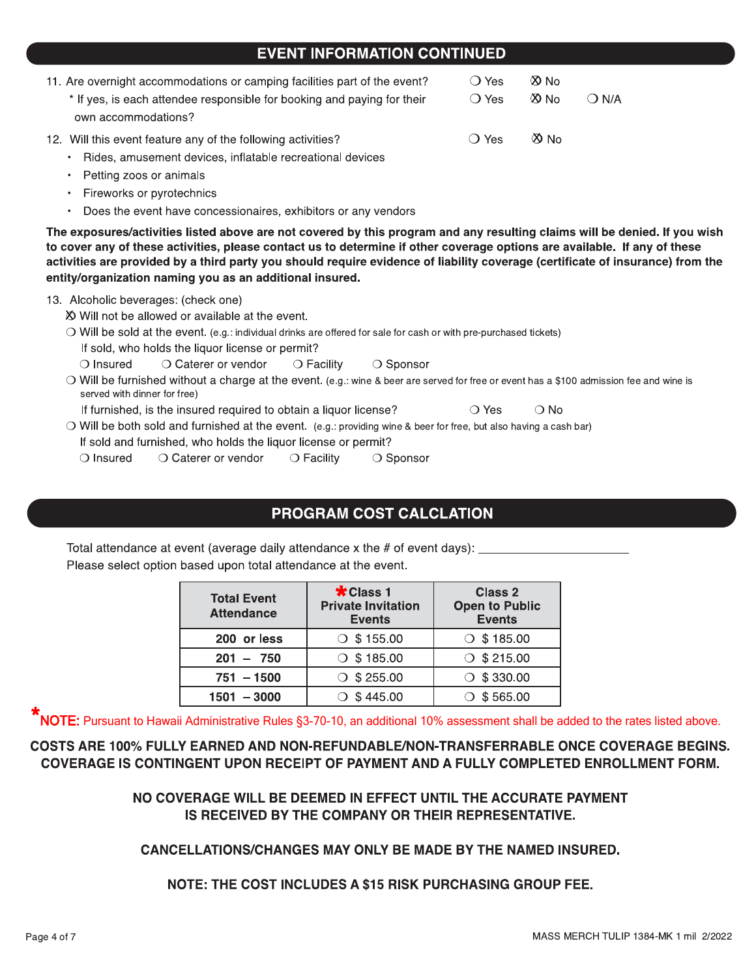#### **EVENT INFORMATION CONTINUED**

| 11. Are overnight accommodations or camping facilities part of the event?<br>* If yes, is each attendee responsible for booking and paying for their<br>own accommodations? | $\bigcirc$ Yes<br>$\bigcirc$ Yes | $\infty$ No<br>$\infty$ No | $\bigcirc$ N/A |
|-----------------------------------------------------------------------------------------------------------------------------------------------------------------------------|----------------------------------|----------------------------|----------------|
| 12. Will this event feature any of the following activities?<br>Rides, amusement devices, inflatable recreational devices                                                   | ◯ Yes                            | $\infty$ No                |                |

- Petting zoos or animals
- Fireworks or pyrotechnics
- Does the event have concessionaires, exhibitors or any vendors

The exposures/activities listed above are not covered by this program and any resulting claims will be denied. If you wish to cover any of these activities, please contact us to determine if other coverage options are available. If any of these activities are provided by a third party you should require evidence of liability coverage (certificate of insurance) from the entity/organization naming you as an additional insured.

#### 13. Alcoholic beverages: (check one)

X Will not be allowed or available at the event.

O Will be sold at the event. (e.g.: individual drinks are offered for sale for cash or with pre-purchased tickets) If sold, who holds the liquor license or permit?

 $\bigcirc$  Insured ○ Caterer or vendor  $\bigcirc$  Facility ○ Sponsor

O Will be furnished without a charge at the event. (e.g.: wine & beer are served for free or event has a \$100 admission fee and wine is served with dinner for free)

 $\bigcirc$  No

If furnished, is the insured required to obtain a liquor license?  $\bigcirc$  Yes

O Will be both sold and furnished at the event. (e.g.: providing wine & beer for free, but also having a cash bar) If sold and furnished, who holds the liquor license or permit?

 $\bigcirc$  Insured ○ Caterer or vendor  $\bigcirc$  Facility  $\bigcirc$  Sponsor

## PROGRAM COST CALCLATION

Total attendance at event (average daily attendance x the # of event days): \_\_ Please select option based upon total attendance at the event.

| <b>Total Event</b><br><b>Attendance</b> | <b>*Class 1</b><br><b>Private Invitation</b><br><b>Events</b> | Class 2<br><b>Open to Public</b><br><b>Events</b> |
|-----------------------------------------|---------------------------------------------------------------|---------------------------------------------------|
| 200 or less                             | $\circ$ \$155.00                                              | $\circ$ \$185.00                                  |
| $201 - 750$                             | $\circ$ \$185.00                                              | $\circ$ \$215.00                                  |
| $751 - 1500$                            | $\circ$ \$ 255.00                                             | $\circ$ \$330.00                                  |
| $1501 - 3000$                           | $\times$ \$445.00                                             | \$565.00                                          |

NOTE: Pursuant to Hawaii Administrative Rules §3-70-10, an additional 10% assessment shall be added to the rates listed above.

#### COSTS ARE 100% FULLY EARNED AND NON-REFUNDABLE/NON-TRANSFERRABLE ONCE COVERAGE BEGINS. COVERAGE IS CONTINGENT UPON RECEIPT OF PAYMENT AND A FULLY COMPLETED ENROLLMENT FORM.

NO COVERAGE WILL BE DEEMED IN EFFECT UNTIL THE ACCURATE PAYMENT IS RECEIVED BY THE COMPANY OR THEIR REPRESENTATIVE.

**CANCELLATIONS/CHANGES MAY ONLY BE MADE BY THE NAMED INSURED.** 

**NOTE: THE COST INCLUDES A \$15 RISK PURCHASING GROUP FEE.**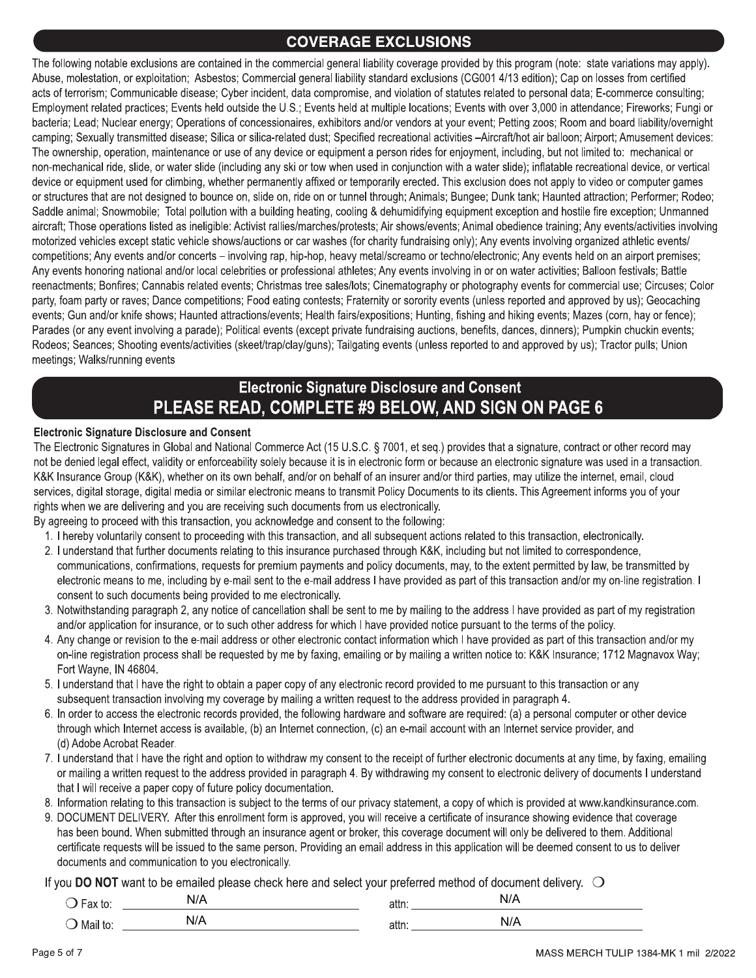**COVERAGE EXCLUSIONS**<br>
contained in the commercial general liability coverage provided by t<br>
sbestos; Commercial general liability standard exclusions (CG001<br>
sse; Cyber incident, data compromise, and violation of statutes The following notable exclusions are contained in the commercial general liability coverage provided by this program (note: state variations may apply). Abuse, molestation, or exploitation; Asbestos; Commercial general liability standard exclusions (CG001 4/13 edition); Cap on losses from certified acts of terrorism; Communicable disease; Cyber incident, data compromise, and violation of statutes related to personal data; E-commerce consulting; Employment related practices; Events held outside the U.S.; Events held at multiple locations; Events with over 3,000 in attendance; Fireworks; Fungi or bacteria; Lead; Nuclear energy; Operations of concessionaires, exhibitors and/or vendors at your event; Petting zoos; Room and board liability/overnight camping; Sexually transmitted disease; Silica or silica-related dust; Specified recreational activities -Aircraft/hot air balloon; Airport; Amusement devices: The ownership, operation, maintenance or use of any device or equipment a person rides for enjoyment, including, but not limited to: mechanical or non-mechanical ride, slide, or water slide (including any ski or tow when used in conjunction with a water slide); inflatable recreational device, or vertical device or equipment used for climbing, whether permanently affixed or temporarily erected. This exclusion does not apply to video or computer games or structures that are not designed to bounce on, slide on, ride on or tunnel through; Animals; Bungee; Dunk tank; Haunted attraction; Performer; Rodeo; Saddle animal; Snowmobile; Total pollution with a building heating, cooling & dehumidifying equipment exception and hostile fire exception; Unmanned aircraft; Those operations listed as ineligible: Activist rallies/marches/protests; Air shows/events; Animal obedience training; Any events/activities involving motorized vehicles except static vehicle shows/auctions or car washes (for charity fundraising only); Any events involving organized athletic events/ competitions; Any events and/or concerts – involving rap, hip-hop, heavy metal/screamo or techno/electronic; Any events held on an airport premises; Any events honoring national and/or local celebrities or professional athletes; Any events involving in or on water activities; Balloon festivals; Battle reenactments; Bonfires; Cannabis related events; Christmas tree sales/lots; Cinematography or photography events for commercial use; Circuses; Color party, foam party or raves; Dance competitions; Food eating contests; Fraternity or sorority events (unless reported and approved by us); Geocaching events; Gun and/or knife shows; Haunted attractions/events; Health fairs/expositions; Hunting, fishing and hiking events; Mazes (corn, hay or fence); Parades (or any event involving a parade); Political events (except private fundraising auctions, benefits, dances, dinners); Pumpkin chuckin events; Rodeos; Seances; Shooting events/activities (skeet/trap/clay/guns); Tailgating events (unless reported to and approved by us); Tractor pulls; Union meetings; Walks/running events

# Electronic Signature Disclosure and Consent PLEASE READ, COMPLETE #9 BELOW, AND SIGN ON PAGE 6

#### Electronic Signature Disclosure and Consent

The Electronic Signatures in Global and National Commerce Act (15 U.S.C. § 7001, et seq.) provides that a signature, contract or other record may not be denied legal effect, validity or enforceability solely because it is in electronic form or because an electronic signature was used in a transaction. K&K Insurance Group (K&K), whether on its own behalf, and/or on behalf of an insurer and/or third parties, may utilize the internet, email, cloud services, digital storage, digital media or similar electronic means to transmit Policy Documents to its clients. This Agreement informs you of your rights when we are delivering and you are receiving such documents from us electronically.

By agreeing to proceed with this transaction, you acknowledge and consent to the following:

- 1. I hereby voluntarily consent to proceeding with this transaction, and all subsequent actions related to this transaction, electronically.
- 2. I understand that further documents relating to this insurance purchased through K&K, including but not limited to correspondence, communications, confirmations, requests for premium payments and policy documents, may, to the extent permitted by law, be transmitted by electronic means to me, including by e-mail sent to the e-mail address I have provided as part of this transaction and/or my on-line registration. I consent to such documents being provided to me electronically.
- 3. Notwithstanding paragraph 2, any notice of cancellation shall be sent to me by mailing to the address I have provided as part of my registration and/or application for insurance, or to such other address for which I have provided notice pursuant to the terms of the policy.
- 4. Any change or revision to the e-mail address or other electronic contact information which I have provided as part of this transaction and/or my on-line registration process shall be requested by me by faxing, emailing or by mailing a written notice to: K&K Insurance; 1712 Magnavox Way; Fort Wayne, IN 46804.
- 5. I understand that I have the right to obtain a paper copy of any electronic record provided to me pursuant to this transaction or any subsequent transaction involving my coverage by mailing a written request to the address provided in paragraph 4.
- 6. In order to access the electronic records provided, the following hardware and software are required: (a) a personal computer or other device through which Internet access is available, (b) an Internet connection, (c) an e-mail account with an Internet service provider, and (d) Adobe Acrobat Reader.
- 7. I understand that I have the right and option to withdraw my consent to the receipt of further electronic documents at any time, by faxing, emailing or mailing a written request to the address provided in paragraph 4. By withdrawing my consent to electronic delivery of documents I understand that I will receive a paper copy of future policy documentation.
- 8. Information relating to this transaction is subject to the terms of our privacy statement, a copy of which is provided at www.kandkinsurance.com.
- 9. DOCUMENT DELIVERY. After this enrollment form is approved, you will receive a certificate of insurance showing evidence that coverage has been bound. When submitted through an insurance agent or broker, this coverage document will only be delivered to them. Additional certificate requests will be issued to the same person. Providing an email address in this application will be deemed consent to us to deliver documents and communication to you electronically.

If you DO NOT want to be emailed please check here and select your preferred method of document delivery.  $\bigcirc$ 

| . .<br>ື   | .   | allıl | .<br>N/ |  |
|------------|-----|-------|---------|--|
| ີ Mail t∈. | N/A | auu.  | 111     |  |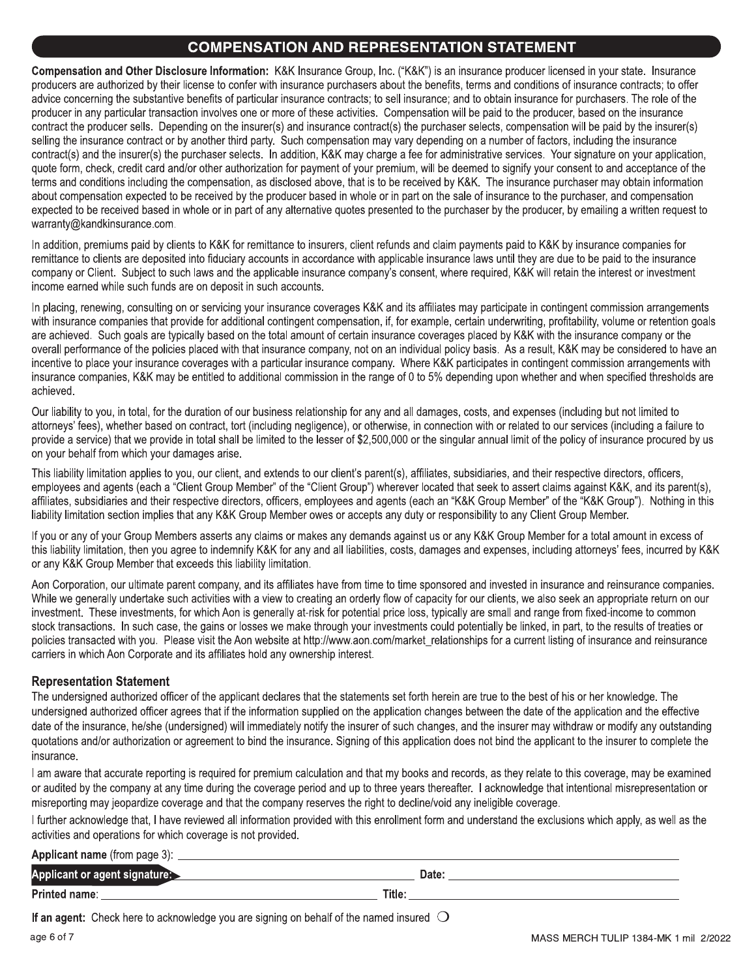#### **COMPENSATION AND REPRESENTATION STATEMENT**

Compensation and Other Disclosure Information: K&K Insurance Group, Inc. ("K&K") is an insurance producer licensed in your state. Insurance producers are authorized by their license to confer with insurance purchasers about the benefits, terms and conditions of insurance contracts; to offer advice concerning the substantive benefits of particular insurance contracts; to sell insurance; and to obtain insurance for purchasers. The role of the producer in any particular transaction involves one or more of these activities. Compensation will be paid to the producer, based on the insurance contract the producer sells. Depending on the insurer(s) and insurance contract(s) the purchaser selects, compensation will be paid by the insurer(s) selling the insurance contract or by another third party. Such compensation may vary depending on a number of factors, including the insurance contract(s) and the insurer(s) the purchaser selects. In addition, K&K may charge a fee for administrative services. Your signature on your application, quote form, check, credit card and/or other authorization for payment of your premium, will be deemed to signify your consent to and acceptance of the terms and conditions including the compensation, as disclosed above, that is to be received by K&K. The insurance purchaser may obtain information about compensation expected to be received by the producer based in whole or in part on the sale of insurance to the purchaser, and compensation expected to be received based in whole or in part of any alternative quotes presented to the purchaser by the producer, by emailing a written request to warranty@kandkinsurance.com.

In addition, premiums paid by clients to K&K for remittance to insurers, client refunds and claim payments paid to K&K by insurance companies for remittance to clients are deposited into fiduciary accounts in accordance with applicable insurance laws until they are due to be paid to the insurance company or Client. Subject to such laws and the applicable insurance company's consent, where required, K&K will retain the interest or investment income earned while such funds are on deposit in such accounts.

In placing, renewing, consulting on or servicing your insurance coverages K&K and its affiliates may participate in contingent commission arrangements with insurance companies that provide for additional contingent compensation, if, for example, certain underwriting, profitability, volume or retention goals are achieved. Such goals are typically based on the total amount of certain insurance coverages placed by K&K with the insurance company or the overall performance of the policies placed with that insurance company, not on an individual policy basis. As a result, K&K may be considered to have an incentive to place your insurance coverages with a particular insurance company. Where K&K participates in contingent commission arrangements with insurance companies, K&K may be entitled to additional commission in the range of 0 to 5% depending upon whether and when specified thresholds are achieved.

Our liability to you, in total, for the duration of our business relationship for any and all damages, costs, and expenses (including but not limited to attorneys' fees), whether based on contract, tort (including negligence), or otherwise, in connection with or related to our services (including a failure to provide a service) that we provide in total shall be limited to the lesser of \$2,500,000 or the singular annual limit of the policy of insurance procured by us on your behalf from which your damages arise.

This liability limitation applies to you, our client, and extends to our client's parent(s), affiliates, subsidiaries, and their respective directors, officers, employees and agents (each a "Client Group Member" of the "Client Group") wherever located that seek to assert claims against K&K, and its parent(s), affiliates, subsidiaries and their respective directors, officers, employees and agents (each an "K&K Group Member" of the "K&K Group"). Nothing in this liability limitation section implies that any K&K Group Member owes or accepts any duty or responsibility to any Client Group Member.

If you or any of your Group Members asserts any claims or makes any demands against us or any K&K Group Member for a total amount in excess of this liability limitation, then you agree to indemnify K&K for any and all liabilities, costs, damages and expenses, including attorneys' fees, incurred by K&K or any K&K Group Member that exceeds this liability limitation.

Aon Corporation, our ultimate parent company, and its affiliates have from time to time sponsored and invested in insurance and reinsurance companies. While we generally undertake such activities with a view to creating an orderly flow of capacity for our clients, we also seek an appropriate return on our investment. These investments, for which Aon is generally at-risk for potential price loss, typically are small and range from fixed-income to common stock transactions. In such case, the gains or losses we make through your investments could potentially be linked, in part, to the results of treaties or policies transacted with you. Please visit the Aon website at http://www.aon.com/market relationships for a current listing of insurance and reinsurance carriers in which Aon Corporate and its affiliates hold any ownership interest.

#### **Representation Statement**

The undersigned authorized officer of the applicant declares that the statements set forth herein are true to the best of his or her knowledge. The undersigned authorized officer agrees that if the information supplied on the application changes between the date of the application and the effective date of the insurance, he/she (undersigned) will immediately notify the insurer of such changes, and the insurer may withdraw or modify any outstanding quotations and/or authorization or agreement to bind the insurance. Signing of this application does not bind the applicant to the insurer to complete the insurance.

I am aware that accurate reporting is required for premium calculation and that my books and records, as they relate to this coverage, may be examined or audited by the company at any time during the coverage period and up to three years thereafter. I acknowledge that intentional misrepresentation or misreporting may jeopardize coverage and that the company reserves the right to decline/void any ineligible coverage.

I further acknowledge that, I have reviewed all information provided with this enrollment form and understand the exclusions which apply, as well as the activities and operations for which coverage is not provided.

| <b>Applicant name</b> (from page 3): |        |
|--------------------------------------|--------|
| Applicant or agent signature:_       | Date:  |
| Printed name:                        | Title: |

If an agent: Check here to acknowledge you are signing on behalf of the named insured  $\bigcirc$